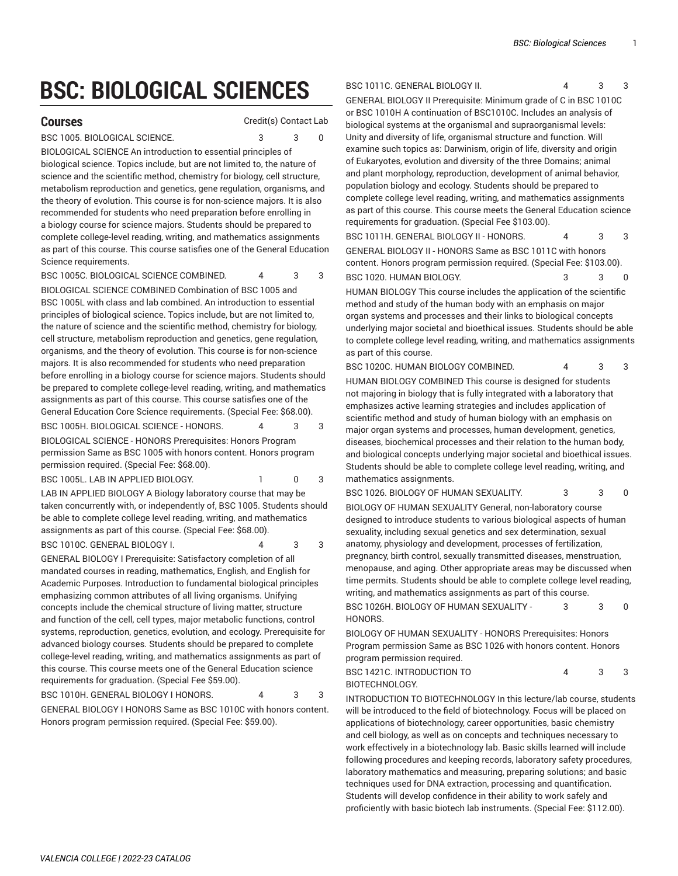## **BSC: BIOLOGICAL SCIENCES**

**Courses** Credit(s) Contact Lab

BSC 1005. BIOLOGICAL SCIENCE. 3 3 0

BIOLOGICAL SCIENCE An introduction to essential principles of biological science. Topics include, but are not limited to, the nature of science and the scientific method, chemistry for biology, cell structure, metabolism reproduction and genetics, gene regulation, organisms, and the theory of evolution. This course is for non-science majors. It is also recommended for students who need preparation before enrolling in a biology course for science majors. Students should be prepared to complete college-level reading, writing, and mathematics assignments as part of this course. This course satisfies one of the General Education Science requirements.

BSC 1005C. BIOLOGICAL SCIENCE COMBINED. 4 3 3

BIOLOGICAL SCIENCE COMBINED Combination of [BSC 1005](/search/?P=BSC%201005) and [BSC 1005L](/search/?P=BSC%201005L) with class and lab combined. An introduction to essential principles of biological science. Topics include, but are not limited to, the nature of science and the scientific method, chemistry for biology, cell structure, metabolism reproduction and genetics, gene regulation, organisms, and the theory of evolution. This course is for non-science majors. It is also recommended for students who need preparation before enrolling in a biology course for science majors. Students should be prepared to complete college-level reading, writing, and mathematics assignments as part of this course. This course satisfies one of the General Education Core Science requirements. (Special Fee: \$68.00).

BSC 1005H. BIOLOGICAL SCIENCE - HONORS. 4 3 3 BIOLOGICAL SCIENCE - HONORS Prerequisites: Honors Program permission Same as [BSC 1005](/search/?P=BSC%201005) with honors content. Honors program permission required. (Special Fee: \$68.00).

BSC 1005L. LAB IN APPLIED BIOLOGY. 1 0 3

LAB IN APPLIED BIOLOGY A Biology laboratory course that may be taken concurrently with, or independently of, [BSC 1005.](/search/?P=BSC%201005) Students should be able to complete college level reading, writing, and mathematics assignments as part of this course. (Special Fee: \$68.00). BSC 1010C. GENERAL BIOLOGY I. 4 3 3

GENERAL BIOLOGY I Prerequisite: Satisfactory completion of all mandated courses in reading, mathematics, English, and English for Academic Purposes. Introduction to fundamental biological principles emphasizing common attributes of all living organisms. Unifying concepts include the chemical structure of living matter, structure and function of the cell, cell types, major metabolic functions, control systems, reproduction, genetics, evolution, and ecology. Prerequisite for advanced biology courses. Students should be prepared to complete college-level reading, writing, and mathematics assignments as part of this course. This course meets one of the General Education science requirements for graduation. (Special Fee \$59.00).

BSC 1010H. GENERAL BIOLOGY I HONORS. 4 3 GENERAL BIOLOGY I HONORS Same as [BSC 1010C](/search/?P=BSC%201010C) with honors content. Honors program permission required. (Special Fee: \$59.00).

## BSC 1011C. GENERAL BIOLOGY II. 4 3 3

GENERAL BIOLOGY II Prerequisite: Minimum grade of C in [BSC 1010C](/search/?P=BSC%201010C) or [BSC 1010H](/search/?P=BSC%201010H) A continuation of BSC1010C. Includes an analysis of biological systems at the organismal and supraorganismal levels: Unity and diversity of life, organismal structure and function. Will examine such topics as: Darwinism, origin of life, diversity and origin of Eukaryotes, evolution and diversity of the three Domains; animal and plant morphology, reproduction, development of animal behavior, population biology and ecology. Students should be prepared to complete college level reading, writing, and mathematics assignments as part of this course. This course meets the General Education science requirements for graduation. (Special Fee \$103.00).

BSC 1011H. GENERAL BIOLOGY II - HONORS. 4 3 3 GENERAL BIOLOGY II - HONORS Same as [BSC 1011C](/search/?P=BSC%201011C) with honors content. Honors program permission required. (Special Fee: \$103.00).

BSC 1020. HUMAN BIOLOGY. And the state of the state of the state of the state of the state of the state of the state of the state of the state of the state of the state of the state of the state of the state of the state o

HUMAN BIOLOGY This course includes the application of the scientific method and study of the human body with an emphasis on major organ systems and processes and their links to biological concepts underlying major societal and bioethical issues. Students should be able to complete college level reading, writing, and mathematics assignments as part of this course.

BSC 1020C. HUMAN BIOLOGY COMBINED. 4 3 3

HUMAN BIOLOGY COMBINED This course is designed for students not majoring in biology that is fully integrated with a laboratory that emphasizes active learning strategies and includes application of scientific method and study of human biology with an emphasis on major organ systems and processes, human development, genetics, diseases, biochemical processes and their relation to the human body, and biological concepts underlying major societal and bioethical issues. Students should be able to complete college level reading, writing, and mathematics assignments.

BSC 1026. BIOLOGY OF HUMAN SEXUALITY.  $3 \qquad 3 \qquad 0$ 

BIOLOGY OF HUMAN SEXUALITY General, non-laboratory course designed to introduce students to various biological aspects of human sexuality, including sexual genetics and sex determination, sexual anatomy, physiology and development, processes of fertilization, pregnancy, birth control, sexually transmitted diseases, menstruation, menopause, and aging. Other appropriate areas may be discussed when time permits. Students should be able to complete college level reading, writing, and mathematics assignments as part of this course.

BSC 1026H. BIOLOGY OF HUMAN SEXUALITY - **HONORS** 3 3 0

BIOLOGY OF HUMAN SEXUALITY - HONORS Prerequisites: Honors Program permission Same as [BSC 1026](/search/?P=BSC%201026) with honors content. Honors program permission required.

BSC 1421C. INTRODUCTION TO BIOTECHNOLOGY. 4 3 3

INTRODUCTION TO BIOTECHNOLOGY In this lecture/lab course, students will be introduced to the field of biotechnology. Focus will be placed on applications of biotechnology, career opportunities, basic chemistry and cell biology, as well as on concepts and techniques necessary to work effectively in a biotechnology lab. Basic skills learned will include following procedures and keeping records, laboratory safety procedures, laboratory mathematics and measuring, preparing solutions; and basic techniques used for DNA extraction, processing and quantification. Students will develop confidence in their ability to work safely and proficiently with basic biotech lab instruments. (Special Fee: \$112.00).